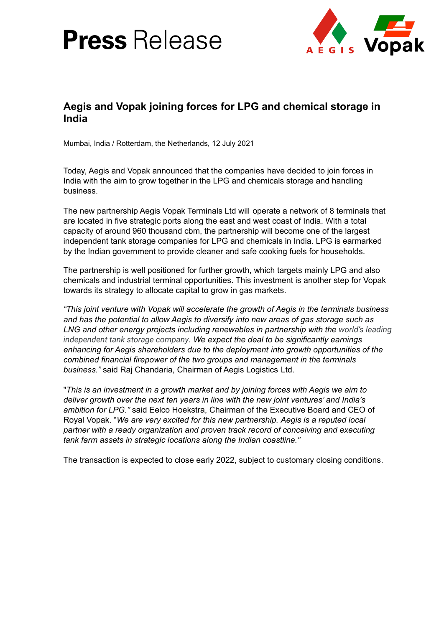# **Press** Release



## **Aegis and Vopak joining forces for LPG and chemical storage in India**

Mumbai, India / Rotterdam, the Netherlands, 12 July 2021

Today, Aegis and Vopak announced that the companies have decided to join forces in India with the aim to grow together in the LPG and chemicals storage and handling business.

The new partnership Aegis Vopak Terminals Ltd will operate a network of 8 terminals that are located in five strategic ports along the east and west coast of India. With a total capacity of around 960 thousand cbm, the partnership will become one of the largest independent tank storage companies for LPG and chemicals in India. LPG is earmarked by the Indian government to provide cleaner and safe cooking fuels for households.

The partnership is well positioned for further growth, which targets mainly LPG and also chemicals and industrial terminal opportunities. This investment is another step for Vopak towards its strategy to allocate capital to grow in gas markets.

*"This joint venture with Vopak will accelerate the growth of Aegis in the terminals business and has the potential to allow Aegis to diversify into new areas of gas storage such as LNG and other energy projects including renewables in partnership with the world's leading independent tank storage company. We expect the deal to be significantly earnings enhancing for Aegis shareholders due to the deployment into growth opportunities of the combined financial firepower of the two groups and management in the terminals business."* said Raj Chandaria, Chairman of Aegis Logistics Ltd.

"*This is an investment in a growth market and by joining forces with Aegis we aim to deliver growth over the next ten years in line with the new joint ventures' and India's ambition for LPG."* said Eelco Hoekstra, Chairman of the Executive Board and CEO of Royal Vopak. "*We are very excited for this new partnership. Aegis is a reputed local partner with a ready organization and proven track record of conceiving and executing tank farm assets in strategic locations along the Indian coastline."*

The transaction is expected to close early 2022, subject to customary closing conditions.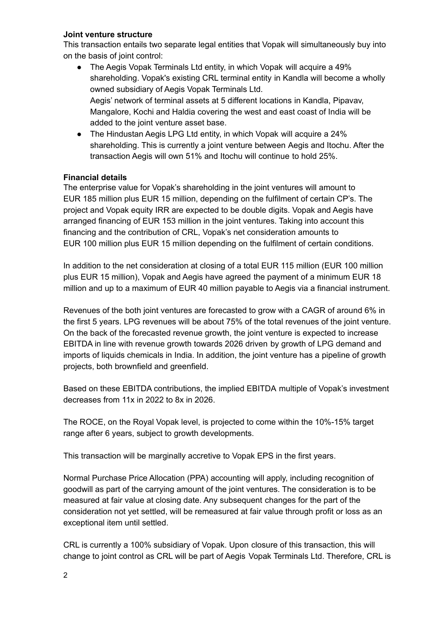#### **Joint venture structure**

This transaction entails two separate legal entities that Vopak will simultaneously buy into on the basis of joint control:

- The Aegis Vopak Terminals Ltd entity, in which Vopak will acquire a 49% shareholding. Vopak's existing CRL terminal entity in Kandla will become a wholly owned subsidiary of Aegis Vopak Terminals Ltd. Aegis' network of terminal assets at 5 different locations in Kandla, Pipavav, Mangalore, Kochi and Haldia covering the west and east coast of India will be added to the joint venture asset base.
- The Hindustan Aegis LPG Ltd entity, in which Vopak will acquire a 24% shareholding. This is currently a joint venture between Aegis and Itochu. After the transaction Aegis will own 51% and Itochu will continue to hold 25%.

### **Financial details**

The enterprise value for Vopak's shareholding in the joint ventures will amount to EUR 185 million plus EUR 15 million, depending on the fulfilment of certain CP's. The project and Vopak equity IRR are expected to be double digits. Vopak and Aegis have arranged financing of EUR 153 million in the joint ventures. Taking into account this financing and the contribution of CRL, Vopak's net consideration amounts to EUR 100 million plus EUR 15 million depending on the fulfilment of certain conditions.

In addition to the net consideration at closing of a total EUR 115 million (EUR 100 million plus EUR 15 million), Vopak and Aegis have agreed the payment of a minimum EUR 18 million and up to a maximum of EUR 40 million payable to Aegis via a financial instrument.

Revenues of the both joint ventures are forecasted to grow with a CAGR of around 6% in the first 5 years. LPG revenues will be about 75% of the total revenues of the joint venture. On the back of the forecasted revenue growth, the joint venture is expected to increase EBITDA in line with revenue growth towards 2026 driven by growth of LPG demand and imports of liquids chemicals in India. In addition, the joint venture has a pipeline of growth projects, both brownfield and greenfield.

Based on these EBITDA contributions, the implied EBITDA multiple of Vopak's investment decreases from 11x in 2022 to 8x in 2026.

The ROCE, on the Royal Vopak level, is projected to come within the 10%-15% target range after 6 years, subject to growth developments.

This transaction will be marginally accretive to Vopak EPS in the first years.

Normal Purchase Price Allocation (PPA) accounting will apply, including recognition of goodwill as part of the carrying amount of the joint ventures. The consideration is to be measured at fair value at closing date. Any subsequent changes for the part of the consideration not yet settled, will be remeasured at fair value through profit or loss as an exceptional item until settled.

CRL is currently a 100% subsidiary of Vopak. Upon closure of this transaction, this will change to joint control as CRL will be part of Aegis Vopak Terminals Ltd. Therefore, CRL is